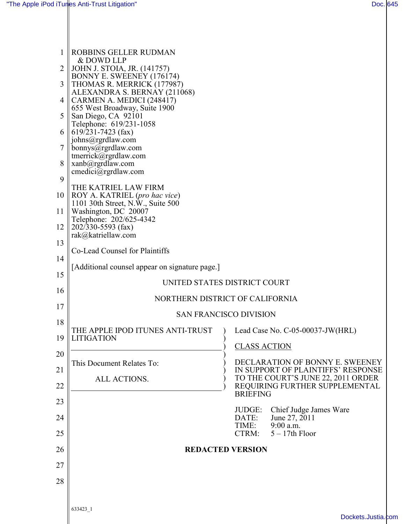| 1  | ROBBINS GELLER RUDMAN<br>& DOWD LLP                                     |                                                                          |
|----|-------------------------------------------------------------------------|--------------------------------------------------------------------------|
| 2  | JOHN J. STOIA, JR. (141757)                                             |                                                                          |
| 3  | BONNY E. SWEENEY (176174)<br>THOMAS R. MERRICK (177987)                 |                                                                          |
| 4  | ALEXANDRA S. BERNAY (211068)<br>CARMEN A. MEDICI (248417)               |                                                                          |
| 5  | 655 West Broadway, Suite 1900<br>San Diego, CA 92101                    |                                                                          |
| 6  | Telephone: 619/231-1058<br>$619/231 - 7423$ (fax)                       |                                                                          |
| 7  | johns@rgrdlaw.com<br>bonnys@rgrdlaw.com                                 |                                                                          |
| 8  | tmerrick@rgrdlaw.com<br>xanb@rgrdlaw.com                                |                                                                          |
| 9  | $c$ medici $@$ rgrdlaw.com<br>THE KATRIEL LAW FIRM                      |                                                                          |
| 10 | $\ $ ROY A. KATRIEL (pro hac vice)<br>1101 30th Street, N.W., Suite 500 |                                                                          |
| 11 | Washington, DC 20007<br>Telephone: 202/625-4342                         |                                                                          |
| 12 | $\ $ 202/330-5593 (fax)<br>rak@katriellaw.com                           |                                                                          |
| 13 | Co-Lead Counsel for Plaintiffs                                          |                                                                          |
| 14 | [Additional counsel appear on signature page.]                          |                                                                          |
| 15 |                                                                         | UNITED STATES DISTRICT COURT                                             |
| 16 | NORTHERN DISTRICT OF CALIFORNIA                                         |                                                                          |
| 17 | <b>SAN FRANCISCO DIVISION</b>                                           |                                                                          |
| 18 | THE APPLE IPOD ITUNES ANTI-TRUST                                        | Lead Case No. C-05-00037-JW(HRL)                                         |
| 19 | <b>LITIGATION</b>                                                       | <b>CLASS ACTION</b>                                                      |
| 20 | This Document Relates To:                                               | DECLARATION OF BONNY E. SWEENEY                                          |
| 21 | ALL ACTIONS.                                                            | IN SUPPORT OF PLAINTIFFS' RESPONSE<br>TO THE COURT'S JUNE 22, 2011 ORDER |
| 22 |                                                                         | REQUIRING FURTHER SUPPLEMENTAL<br><b>BRIEFING</b>                        |
| 23 |                                                                         | Chief Judge James Ware<br>JUDGE:                                         |
| 24 |                                                                         | June 27, 2011<br>DATE:<br>9:00 a.m.<br>TIME:                             |
| 25 |                                                                         | $5 - 17$ th Floor<br>CTRM:                                               |
| 26 |                                                                         | <b>REDACTED VERSION</b>                                                  |
| 27 |                                                                         |                                                                          |
| 28 |                                                                         |                                                                          |
|    | 633423_1                                                                |                                                                          |
|    |                                                                         | Dockets.Justia.com                                                       |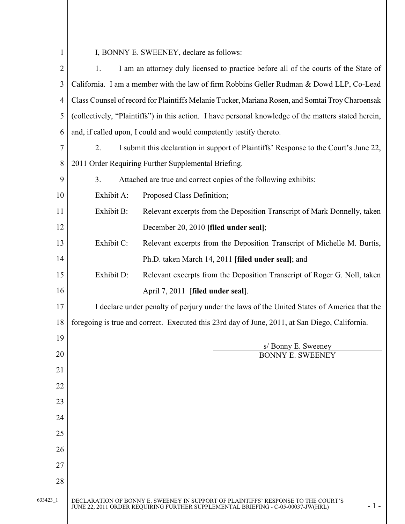1

I, BONNY E. SWEENEY, declare as follows:

633423\_1 DECLARATION OF BONNY E. SWEENEY IN SUPPORT OF PLAINTIFFS' RESPONSE TO THE COURT'S JUNE 22, 2011 ORDER REQUIRING FURTHER SUPPLEMENTAL BRIEFING - C-05-00037-JW(HRL) - 1 - 2 3 4 5 6 7 8 9 10 11 12 13 14 15 16 17 18 19 20 21 22 23 24 25 26 27 28 1. I am an attorney duly licensed to practice before all of the courts of the State of California. I am a member with the law of firm Robbins Geller Rudman & Dowd LLP, Co-Lead Class Counsel of record for Plaintiffs Melanie Tucker, Mariana Rosen, and Somtai Troy Charoensak (collectively, "Plaintiffs") in this action. I have personal knowledge of the matters stated herein, and, if called upon, I could and would competently testify thereto. 2. I submit this declaration in support of Plaintiffs' Response to the Court's June 22, 2011 Order Requiring Further Supplemental Briefing. 3. Attached are true and correct copies of the following exhibits: Exhibit A: Proposed Class Definition; Exhibit B: Relevant excerpts from the Deposition Transcript of Mark Donnelly, taken December 20, 2010 [filed under seal]; Exhibit C: Relevant excerpts from the Deposition Transcript of Michelle M. Burtis, Ph.D. taken March 14, 2011 [filed under seal]; and Exhibit D: Relevant excerpts from the Deposition Transcript of Roger G. Noll, taken April 7, 2011 [filed under seal]. I declare under penalty of perjury under the laws of the United States of America that the foregoing is true and correct. Executed this 23rd day of June, 2011, at San Diego, California. s/ Bonny E. Sweeney BONNY E. SWEENEY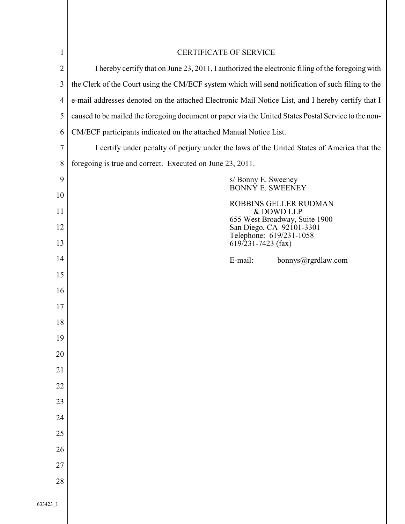| $\mathbf{1}$   | <b>CERTIFICATE OF SERVICE</b>                                                                        |
|----------------|------------------------------------------------------------------------------------------------------|
| $\overline{2}$ | I hereby certify that on June 23, 2011, I authorized the electronic filing of the foregoing with     |
| 3              | the Clerk of the Court using the CM/ECF system which will send notification of such filing to the    |
| 4              | e-mail addresses denoted on the attached Electronic Mail Notice List, and I hereby certify that I    |
| 5              | caused to be mailed the foregoing document or paper via the United States Postal Service to the non- |
| 6              | CM/ECF participants indicated on the attached Manual Notice List.                                    |
| $\overline{7}$ | I certify under penalty of perjury under the laws of the United States of America that the           |
| 8              | foregoing is true and correct. Executed on June 23, 2011.                                            |
| 9              | s/ Bonny E. Sweeney<br><b>BONNÝ E. SWEENEY</b>                                                       |
| 10             | <b>ROBBINS GELLER RUDMAN</b>                                                                         |
| 11             | & DOWD LLP                                                                                           |
| 12             | 655 West Broadway, Suite 1900<br>San Diego, CA 92101-3301                                            |
| 13             | Telephone: 619/231-1058<br>$619/231 - 7423$ (fax)                                                    |
| 14             | E-mail:<br>bonnys@rgrdlaw.com                                                                        |
| 15             |                                                                                                      |
| 16             |                                                                                                      |
| 17             |                                                                                                      |
| 18             |                                                                                                      |
| 19             |                                                                                                      |
| 20             |                                                                                                      |
| 21             |                                                                                                      |
| 22             |                                                                                                      |
| 23             |                                                                                                      |
| 24             |                                                                                                      |
| 25             |                                                                                                      |
| 26             |                                                                                                      |
| 27             |                                                                                                      |
| 28             |                                                                                                      |
| 633423_1       |                                                                                                      |
|                |                                                                                                      |
|                |                                                                                                      |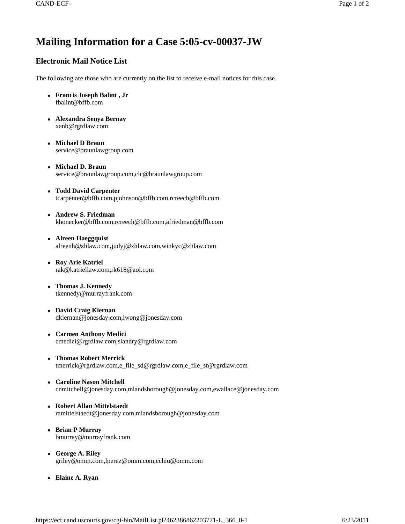## **Mailing Information for a Case 5:05-cv-00037-JW**

## **Electronic Mail Notice List**

The following are those who are currently on the list to receive e-mail notices for this case.

- <sup>z</sup> **Francis Joseph Balint , Jr** fbalint@bffb.com
- <sup>z</sup> **Alexandra Senya Bernay**  xanb@rgrdlaw.com
- <sup>z</sup> **Michael D Braun**  service@braunlawgroup.com
- <sup>z</sup> **Michael D. Braun**  service@braunlawgroup.com,clc@braunlawgroup.com
- <sup>z</sup> **Todd David Carpenter**  tcarpenter@bffb.com,pjohnson@bffb.com,rcreech@bffb.com
- <sup>z</sup> **Andrew S. Friedman**  khonecker@bffb.com,rcreech@bffb.com,afriedman@bffb.com
- Alreen Haeggquist alreenh@zhlaw.com,judyj@zhlaw.com,winkyc@zhlaw.com
- <sup>z</sup> **Roy Arie Katriel**  rak@katriellaw.com,rk618@aol.com
- <sup>z</sup> **Thomas J. Kennedy**  tkennedy@murrayfrank.com
- David Craig Kiernan dkiernan@jonesday.com,lwong@jonesday.com
- <sup>z</sup> **Carmen Anthony Medici**  cmedici@rgrdlaw.com,slandry@rgrdlaw.com
- <sup>z</sup> **Thomas Robert Merrick**  tmerrick@rgrdlaw.com,e\_file\_sd@rgrdlaw.com,e\_file\_sf@rgrdlaw.com
- <sup>z</sup> **Caroline Nason Mitchell**  cnmitchell@jonesday.com,mlandsborough@jonesday.com,ewallace@jonesday.com
- <sup>z</sup> **Robert Allan Mittelstaedt**  ramittelstaedt@jonesday.com,mlandsborough@jonesday.com
- <sup>z</sup> **Brian P Murray**  bmurray@murrayfrank.com
- <sup>z</sup> **George A. Riley**  griley@omm.com,lperez@omm.com,cchiu@omm.com
- Elaine A. Ryan